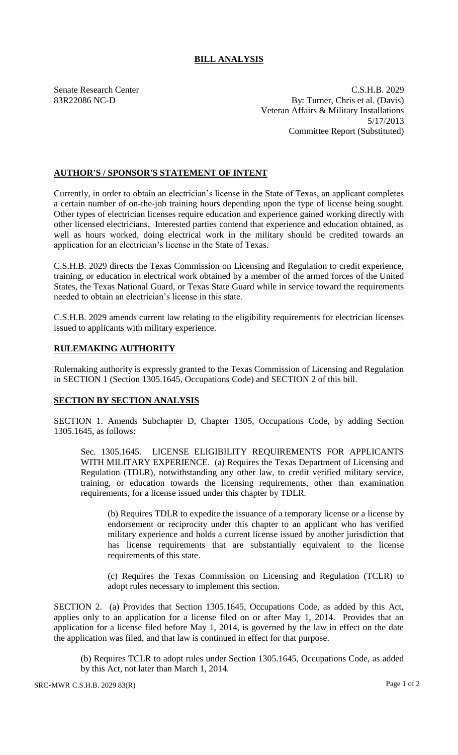## **BILL ANALYSIS**

Senate Research Center C.S.H.B. 2029 83R22086 NC-D By: Turner, Chris et al. (Davis) Veteran Affairs & Military Installations 5/17/2013 Committee Report (Substituted)

## **AUTHOR'S / SPONSOR'S STATEMENT OF INTENT**

Currently, in order to obtain an electrician's license in the State of Texas, an applicant completes a certain number of on-the-job training hours depending upon the type of license being sought. Other types of electrician licenses require education and experience gained working directly with other licensed electricians. Interested parties contend that experience and education obtained, as well as hours worked, doing electrical work in the military should be credited towards an application for an electrician's license in the State of Texas.

C.S.H.B. 2029 directs the Texas Commission on Licensing and Regulation to credit experience, training, or education in electrical work obtained by a member of the armed forces of the United States, the Texas National Guard, or Texas State Guard while in service toward the requirements needed to obtain an electrician's license in this state.

C.S.H.B. 2029 amends current law relating to the eligibility requirements for electrician licenses issued to applicants with military experience.

## **RULEMAKING AUTHORITY**

Rulemaking authority is expressly granted to the Texas Commission of Licensing and Regulation in SECTION 1 (Section 1305.1645, Occupations Code) and SECTION 2 of this bill.

## **SECTION BY SECTION ANALYSIS**

SECTION 1. Amends Subchapter D, Chapter 1305, Occupations Code, by adding Section 1305.1645, as follows:

Sec. 1305.1645. LICENSE ELIGIBILITY REQUIREMENTS FOR APPLICANTS WITH MILITARY EXPERIENCE. (a) Requires the Texas Department of Licensing and Regulation (TDLR), notwithstanding any other law, to credit verified military service, training, or education towards the licensing requirements, other than examination requirements, for a license issued under this chapter by TDLR.

(b) Requires TDLR to expedite the issuance of a temporary license or a license by endorsement or reciprocity under this chapter to an applicant who has verified military experience and holds a current license issued by another jurisdiction that has license requirements that are substantially equivalent to the license requirements of this state.

(c) Requires the Texas Commission on Licensing and Regulation (TCLR) to adopt rules necessary to implement this section.

SECTION 2. (a) Provides that Section 1305.1645, Occupations Code, as added by this Act, applies only to an application for a license filed on or after May 1, 2014. Provides that an application for a license filed before May 1, 2014, is governed by the law in effect on the date the application was filed, and that law is continued in effect for that purpose.

(b) Requires TCLR to adopt rules under Section 1305.1645, Occupations Code, as added by this Act, not later than March 1, 2014.